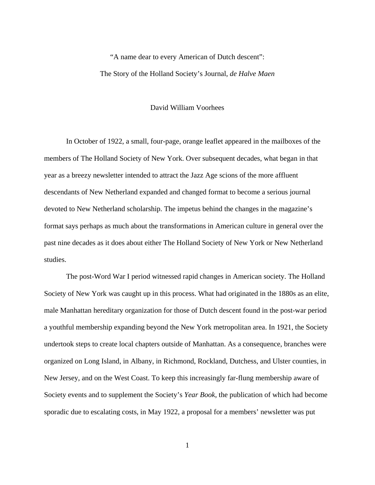## "A name dear to every American of Dutch descent": The Story of the Holland Society's Journal, *de Halve Maen*

## David William Voorhees

 In October of 1922, a small, four-page, orange leaflet appeared in the mailboxes of the members of The Holland Society of New York. Over subsequent decades, what began in that year as a breezy newsletter intended to attract the Jazz Age scions of the more affluent descendants of New Netherland expanded and changed format to become a serious journal devoted to New Netherland scholarship. The impetus behind the changes in the magazine's format says perhaps as much about the transformations in American culture in general over the past nine decades as it does about either The Holland Society of New York or New Netherland studies.

 The post-Word War I period witnessed rapid changes in American society. The Holland Society of New York was caught up in this process. What had originated in the 1880s as an elite, male Manhattan hereditary organization for those of Dutch descent found in the post-war period a youthful membership expanding beyond the New York metropolitan area. In 1921, the Society undertook steps to create local chapters outside of Manhattan. As a consequence, branches were organized on Long Island, in Albany, in Richmond, Rockland, Dutchess, and Ulster counties, in New Jersey, and on the West Coast. To keep this increasingly far-flung membership aware of Society events and to supplement the Society's *Year Book*, the publication of which had become sporadic due to escalating costs, in May 1922, a proposal for a members' newsletter was put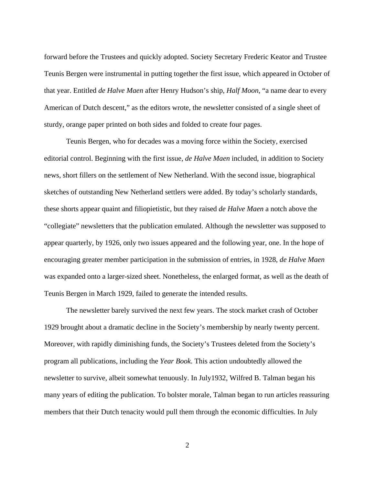forward before the Trustees and quickly adopted. Society Secretary Frederic Keator and Trustee Teunis Bergen were instrumental in putting together the first issue, which appeared in October of that year. Entitled *de Halve Maen* after Henry Hudson's ship, *Half Moon*, "a name dear to every American of Dutch descent," as the editors wrote, the newsletter consisted of a single sheet of sturdy, orange paper printed on both sides and folded to create four pages.

 Teunis Bergen, who for decades was a moving force within the Society, exercised editorial control. Beginning with the first issue, *de Halve Maen* included, in addition to Society news, short fillers on the settlement of New Netherland. With the second issue, biographical sketches of outstanding New Netherland settlers were added. By today's scholarly standards, these shorts appear quaint and filiopietistic, but they raised *de Halve Maen* a notch above the "collegiate" newsletters that the publication emulated. Although the newsletter was supposed to appear quarterly, by 1926, only two issues appeared and the following year, one. In the hope of encouraging greater member participation in the submission of entries, in 1928, *de Halve Maen*  was expanded onto a larger-sized sheet. Nonetheless, the enlarged format, as well as the death of Teunis Bergen in March 1929, failed to generate the intended results.

 The newsletter barely survived the next few years. The stock market crash of October 1929 brought about a dramatic decline in the Society's membership by nearly twenty percent. Moreover, with rapidly diminishing funds, the Society's Trustees deleted from the Society's program all publications, including the *Year Book*. This action undoubtedly allowed the newsletter to survive, albeit somewhat tenuously. In July1932, Wilfred B. Talman began his many years of editing the publication. To bolster morale, Talman began to run articles reassuring members that their Dutch tenacity would pull them through the economic difficulties. In July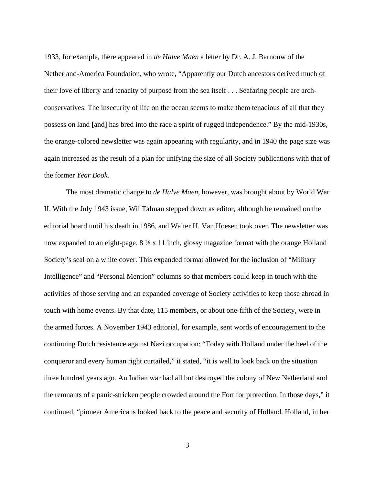1933, for example, there appeared in *de Halve Maen* a letter by Dr. A. J. Barnouw of the Netherland-America Foundation, who wrote, "Apparently our Dutch ancestors derived much of their love of liberty and tenacity of purpose from the sea itself . . . Seafaring people are archconservatives. The insecurity of life on the ocean seems to make them tenacious of all that they possess on land [and] has bred into the race a spirit of rugged independence." By the mid-1930s, the orange-colored newsletter was again appearing with regularity, and in 1940 the page size was again increased as the result of a plan for unifying the size of all Society publications with that of the former *Year Book*.

 The most dramatic change to *de Halve Maen*, however, was brought about by World War II. With the July 1943 issue*,* Wil Talman stepped down as editor, although he remained on the editorial board until his death in 1986, and Walter H. Van Hoesen took over. The newsletter was now expanded to an eight-page,  $8 \frac{1}{2} \times 11$  inch, glossy magazine format with the orange Holland Society's seal on a white cover. This expanded format allowed for the inclusion of "Military Intelligence" and "Personal Mention" columns so that members could keep in touch with the activities of those serving and an expanded coverage of Society activities to keep those abroad in touch with home events. By that date, 115 members, or about one-fifth of the Society, were in the armed forces. A November 1943 editorial, for example, sent words of encouragement to the continuing Dutch resistance against Nazi occupation: "Today with Holland under the heel of the conqueror and every human right curtailed," it stated, "it is well to look back on the situation three hundred years ago. An Indian war had all but destroyed the colony of New Netherland and the remnants of a panic-stricken people crowded around the Fort for protection. In those days," it continued, "pioneer Americans looked back to the peace and security of Holland. Holland, in her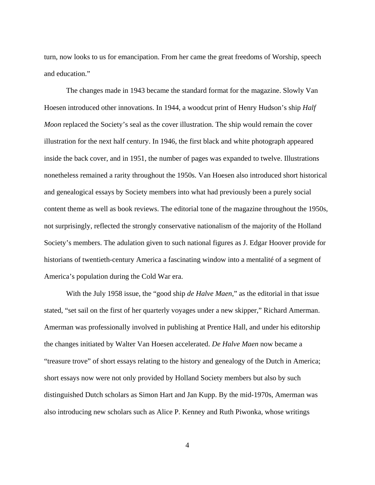turn, now looks to us for emancipation. From her came the great freedoms of Worship, speech and education."

 The changes made in 1943 became the standard format for the magazine. Slowly Van Hoesen introduced other innovations. In 1944, a woodcut print of Henry Hudson's ship *Half Moon replaced the Society's seal as the cover illustration. The ship would remain the cover* illustration for the next half century. In 1946, the first black and white photograph appeared inside the back cover, and in 1951, the number of pages was expanded to twelve. Illustrations nonetheless remained a rarity throughout the 1950s. Van Hoesen also introduced short historical and genealogical essays by Society members into what had previously been a purely social content theme as well as book reviews. The editorial tone of the magazine throughout the 1950s, not surprisingly, reflected the strongly conservative nationalism of the majority of the Holland Society's members. The adulation given to such national figures as J. Edgar Hoover provide for historians of twentieth-century America a fascinating window into a mentalité of a segment of America's population during the Cold War era.

 With the July 1958 issue, the "good ship *de Halve Maen*," as the editorial in that issue stated, "set sail on the first of her quarterly voyages under a new skipper," Richard Amerman. Amerman was professionally involved in publishing at Prentice Hall, and under his editorship the changes initiated by Walter Van Hoesen accelerated. *De Halve Maen* now became a "treasure trove" of short essays relating to the history and genealogy of the Dutch in America; short essays now were not only provided by Holland Society members but also by such distinguished Dutch scholars as Simon Hart and Jan Kupp. By the mid-1970s, Amerman was also introducing new scholars such as Alice P. Kenney and Ruth Piwonka, whose writings

4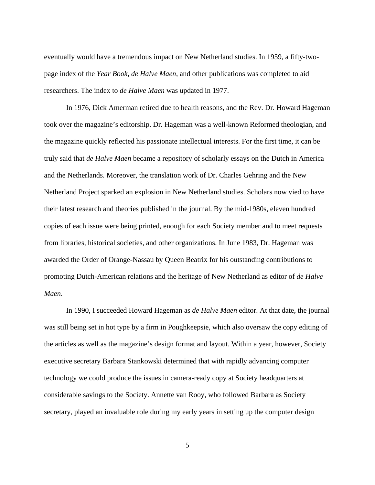eventually would have a tremendous impact on New Netherland studies. In 1959, a fifty-twopage index of the *Year Book*, *de Halve Maen,* and other publications was completed to aid researchers. The index to *de Halve Maen* was updated in 1977.

 In 1976, Dick Amerman retired due to health reasons, and the Rev. Dr. Howard Hageman took over the magazine's editorship. Dr. Hageman was a well-known Reformed theologian, and the magazine quickly reflected his passionate intellectual interests. For the first time, it can be truly said that *de Halve Maen* became a repository of scholarly essays on the Dutch in America and the Netherlands. Moreover, the translation work of Dr. Charles Gehring and the New Netherland Project sparked an explosion in New Netherland studies. Scholars now vied to have their latest research and theories published in the journal. By the mid-1980s, eleven hundred copies of each issue were being printed, enough for each Society member and to meet requests from libraries, historical societies, and other organizations. In June 1983, Dr. Hageman was awarded the Order of Orange-Nassau by Queen Beatrix for his outstanding contributions to promoting Dutch-American relations and the heritage of New Netherland as editor of *de Halve Maen*.

 In 1990, I succeeded Howard Hageman as *de Halve Maen* editor. At that date, the journal was still being set in hot type by a firm in Poughkeepsie, which also oversaw the copy editing of the articles as well as the magazine's design format and layout. Within a year, however, Society executive secretary Barbara Stankowski determined that with rapidly advancing computer technology we could produce the issues in camera-ready copy at Society headquarters at considerable savings to the Society. Annette van Rooy, who followed Barbara as Society secretary, played an invaluable role during my early years in setting up the computer design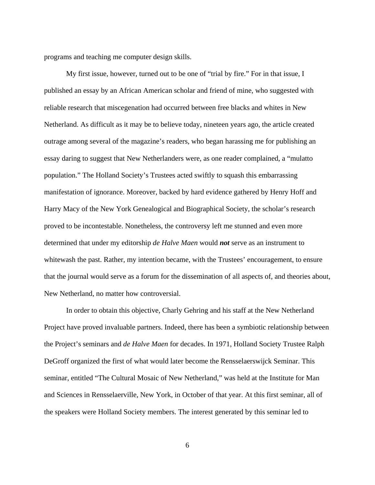programs and teaching me computer design skills.

 My first issue, however, turned out to be one of "trial by fire." For in that issue, I published an essay by an African American scholar and friend of mine, who suggested with reliable research that miscegenation had occurred between free blacks and whites in New Netherland. As difficult as it may be to believe today, nineteen years ago, the article created outrage among several of the magazine's readers, who began harassing me for publishing an essay daring to suggest that New Netherlanders were, as one reader complained, a "mulatto population." The Holland Society's Trustees acted swiftly to squash this embarrassing manifestation of ignorance. Moreover, backed by hard evidence gathered by Henry Hoff and Harry Macy of the New York Genealogical and Biographical Society, the scholar's research proved to be incontestable. Nonetheless, the controversy left me stunned and even more determined that under my editorship *de Halve Maen* would *not* serve as an instrument to whitewash the past. Rather, my intention became, with the Trustees' encouragement, to ensure that the journal would serve as a forum for the dissemination of all aspects of, and theories about, New Netherland, no matter how controversial.

 In order to obtain this objective, Charly Gehring and his staff at the New Netherland Project have proved invaluable partners. Indeed, there has been a symbiotic relationship between the Project's seminars and *de Halve Maen* for decades. In 1971, Holland Society Trustee Ralph DeGroff organized the first of what would later become the Rensselaerswijck Seminar. This seminar, entitled "The Cultural Mosaic of New Netherland," was held at the Institute for Man and Sciences in Rensselaerville, New York, in October of that year. At this first seminar, all of the speakers were Holland Society members. The interest generated by this seminar led to

6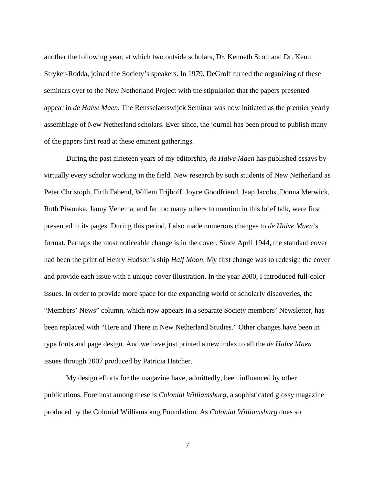another the following year, at which two outside scholars, Dr. Kenneth Scott and Dr. Kenn Stryker-Rodda, joined the Society's speakers. In 1979, DeGroff turned the organizing of these seminars over to the New Netherland Project with the stipulation that the papers presented appear in *de Halve Maen.* The Rensselaerswijck Seminar was now initiated as the premier yearly assemblage of New Netherland scholars. Ever since, the journal has been proud to publish many of the papers first read at these eminent gatherings.

 During the past nineteen years of my editorship, *de Halve Maen* has published essays by virtually every scholar working in the field. New research by such students of New Netherland as Peter Christoph, Firth Fabend, Willem Frijhoff, Joyce Goodfriend, Jaap Jacobs, Donna Merwick, Ruth Piwonka, Janny Venema, and far too many others to mention in this brief talk, were first presented in its pages. During this period, I also made numerous changes to *de Halve Maen*'s format. Perhaps the most noticeable change is in the cover. Since April 1944, the standard cover had been the print of Henry Hudson's ship *Half Moon*. My first change was to redesign the cover and provide each issue with a unique cover illustration. In the year 2000, I introduced full-color issues. In order to provide more space for the expanding world of scholarly discoveries, the "Members' News" column, which now appears in a separate Society members' Newsletter, has been replaced with "Here and There in New Netherland Studies." Other changes have been in type fonts and page design. And we have just printed a new index to all the *de Halve Maen*  issues through 2007 produced by Patricia Hatcher.

 My design efforts for the magazine have, admittedly, been influenced by other publications. Foremost among these is *Colonial Williamsburg*, a sophisticated glossy magazine produced by the Colonial Williamsburg Foundation. As *Colonial Williamsburg* does so

7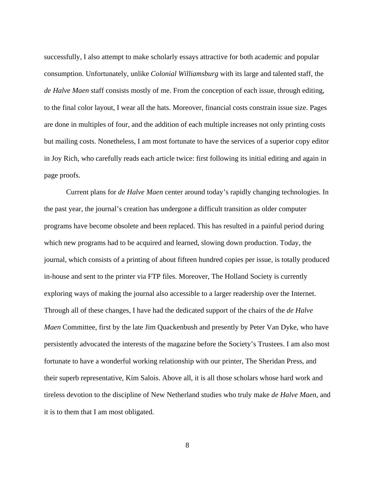successfully, I also attempt to make scholarly essays attractive for both academic and popular consumption. Unfortunately, unlike *Colonial Williamsburg* with its large and talented staff, the *de Halve Maen* staff consists mostly of me. From the conception of each issue, through editing, to the final color layout, I wear all the hats. Moreover, financial costs constrain issue size. Pages are done in multiples of four, and the addition of each multiple increases not only printing costs but mailing costs. Nonetheless, I am most fortunate to have the services of a superior copy editor in Joy Rich, who carefully reads each article twice: first following its initial editing and again in page proofs.

 Current plans for *de Halve Maen* center around today's rapidly changing technologies. In the past year, the journal's creation has undergone a difficult transition as older computer programs have become obsolete and been replaced. This has resulted in a painful period during which new programs had to be acquired and learned, slowing down production. Today, the journal, which consists of a printing of about fifteen hundred copies per issue, is totally produced in-house and sent to the printer via FTP files. Moreover, The Holland Society is currently exploring ways of making the journal also accessible to a larger readership over the Internet. Through all of these changes, I have had the dedicated support of the chairs of the *de Halve Maen* Committee, first by the late Jim Quackenbush and presently by Peter Van Dyke, who have persistently advocated the interests of the magazine before the Society's Trustees. I am also most fortunate to have a wonderful working relationship with our printer, The Sheridan Press, and their superb representative, Kim Salois. Above all, it is all those scholars whose hard work and tireless devotion to the discipline of New Netherland studies who truly make *de Halve Maen*, and it is to them that I am most obligated.